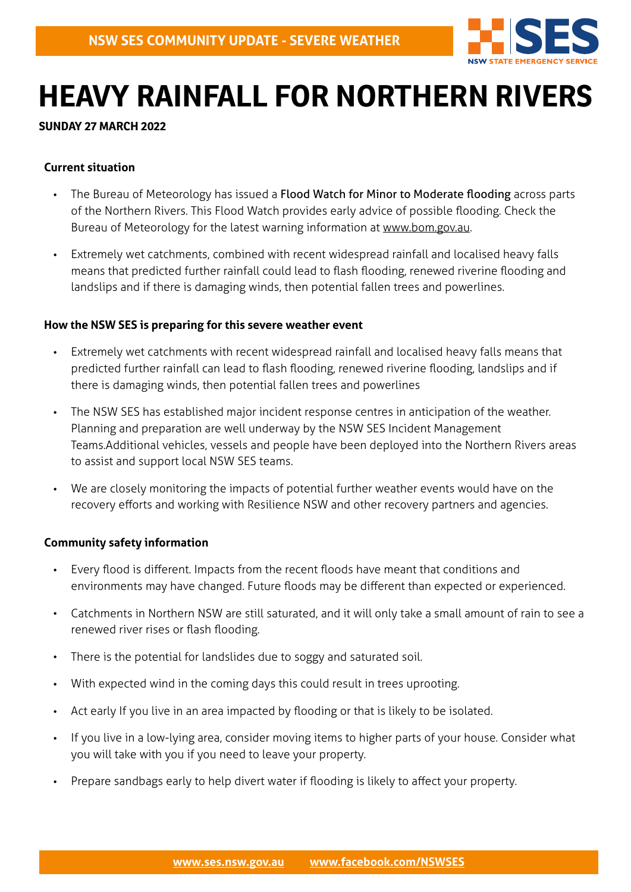

# **HEAVY RAINFALL FOR NORTHERN RIVERS**

#### **SUNDAY 27 MARCH 2022**

# **Current situation**

- The Bureau of Meteorology has issued a Flood Watch for Minor to Moderate flooding across parts of the Northern Rivers. This Flood Watch provides early advice of possible flooding. Check the Bureau of Meteorology for the latest warning information at [www.bom.gov.au.](http://www.bom.gov.au)
- Extremely wet catchments, combined with recent widespread rainfall and localised heavy falls means that predicted further rainfall could lead to flash flooding, renewed riverine flooding and landslips and if there is damaging winds, then potential fallen trees and powerlines.

#### **How the NSW SES is preparing for this severe weather event**

- Extremely wet catchments with recent widespread rainfall and localised heavy falls means that predicted further rainfall can lead to flash flooding, renewed riverine flooding, landslips and if there is damaging winds, then potential fallen trees and powerlines
- The NSW SES has established major incident response centres in anticipation of the weather. Planning and preparation are well underway by the NSW SES Incident Management Teams.Additional vehicles, vessels and people have been deployed into the Northern Rivers areas to assist and support local NSW SES teams.
- We are closely monitoring the impacts of potential further weather events would have on the recovery efforts and working with Resilience NSW and other recovery partners and agencies.

# **Community safety information**

- Every flood is different. Impacts from the recent floods have meant that conditions and environments may have changed. Future floods may be different than expected or experienced.
- Catchments in Northern NSW are still saturated, and it will only take a small amount of rain to see a renewed river rises or flash flooding.
- There is the potential for landslides due to soggy and saturated soil.
- With expected wind in the coming days this could result in trees uprooting.
- Act early If you live in an area impacted by flooding or that is likely to be isolated.
- If you live in a low-lying area, consider moving items to higher parts of your house. Consider what you will take with you if you need to leave your property.
- Prepare sandbags early to help divert water if flooding is likely to affect your property.